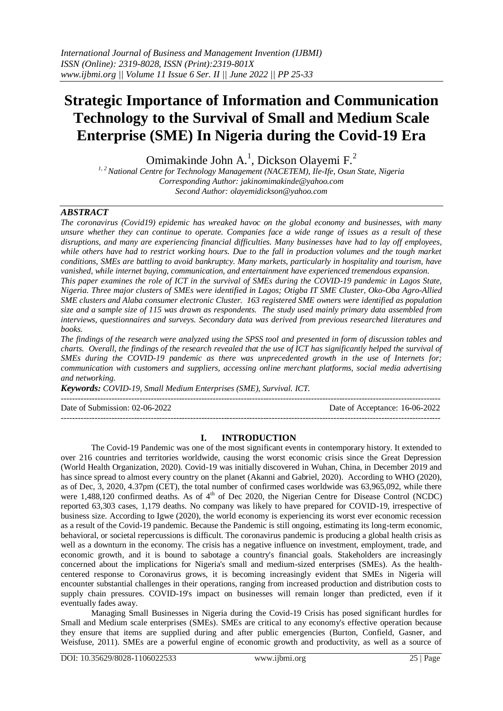# **Strategic Importance of Information and Communication Technology to the Survival of Small and Medium Scale Enterprise (SME) In Nigeria during the Covid-19 Era**

Omimakinde John A.<sup>1</sup>, Dickson Olayemi F.<sup>2</sup>

*1, 2National Centre for Technology Management (NACETEM), Ile-Ife, Osun State, Nigeria Corresponding Author: [jakinomimakinde@yahoo.com](mailto:jakinomimakinde@yahoo.com) Second Author[: olayemidickson@yahoo.com](mailto:olayemidickson@yahoo.com)*

## *ABSTRACT*

*The coronavirus (Covid19) epidemic has wreaked havoc on the global economy and businesses, with many unsure whether they can continue to operate. Companies face a wide range of issues as a result of these disruptions, and many are experiencing financial difficulties. Many businesses have had to lay off employees, while others have had to restrict working hours. Due to the fall in production volumes and the tough market conditions, SMEs are battling to avoid bankruptcy. Many markets, particularly in hospitality and tourism, have vanished, while internet buying, communication, and entertainment have experienced tremendous expansion.*

*This paper examines the role of ICT in the survival of SMEs during the COVID-19 pandemic in Lagos State, Nigeria. Three major clusters of SMEs were identified in Lagos; Otigba IT SME Cluster, Oko-Oba Agro-Allied SME clusters and Alaba consumer electronic Cluster. 163 registered SME owners were identified as population size and a sample size of 115 was drawn as respondents. The study used mainly primary data assembled from interviews, questionnaires and surveys. Secondary data was derived from previous researched literatures and books.*

*The findings of the research were analyzed using the SPSS tool and presented in form of discussion tables and charts. Overall, the findings of the research revealed that the use of ICT has significantly helped the survival of SMEs during the COVID-19 pandemic as there was unprecedented growth in the use of Internets for; communication with customers and suppliers, accessing online merchant platforms, social media advertising and networking.* 

*Keywords: COVID-19, Small Medium Enterprises (SME), Survival. ICT.*

---------------------------------------------------------------------------------------------------------------------------------------

Date of Submission: 02-06-2022 Date of Acceptance: 16-06-2022

## **I. INTRODUCTION**

---------------------------------------------------------------------------------------------------------------------------------------

The Covid-19 Pandemic was one of the most significant events in contemporary history. It extended to over 216 countries and territories worldwide, causing the worst economic crisis since the Great Depression (World Health Organization, 2020). Covid-19 was initially discovered in Wuhan, China, in December 2019 and has since spread to almost every country on the planet (Akanni and Gabriel, 2020). According to WHO (2020), as of Dec, 3, 2020, 4.37pm (CET), the total number of confirmed cases worldwide was 63,965,092, while there were 1,488,120 confirmed deaths. As of 4<sup>th</sup> of Dec 2020, the Nigerian Centre for Disease Control (NCDC) reported 63,303 cases, 1,179 deaths. No company was likely to have prepared for COVID-19, irrespective of business size. According to Igwe (2020), the world economy is experiencing its worst ever economic recession as a result of the Covid-19 pandemic. Because the Pandemic is still ongoing, estimating its long-term economic, behavioral, or societal repercussions is difficult. The coronavirus pandemic is producing a global health crisis as well as a downturn in the economy. The crisis has a negative influence on investment, employment, trade, and economic growth, and it is bound to sabotage a country's financial goals. Stakeholders are increasingly concerned about the implications for Nigeria's small and medium-sized enterprises (SMEs). As the healthcentered response to Coronavirus grows, it is becoming increasingly evident that SMEs in Nigeria will encounter substantial challenges in their operations, ranging from increased production and distribution costs to supply chain pressures. COVID-19's impact on businesses will remain longer than predicted, even if it eventually fades away.

Managing Small Businesses in Nigeria during the Covid-19 Crisis has posed significant hurdles for Small and Medium scale enterprises (SMEs). SMEs are critical to any economy's effective operation because they ensure that items are supplied during and after public emergencies (Burton, Confield, Gasner, and Weisfuse, 2011). SMEs are a powerful engine of economic growth and productivity, as well as a source of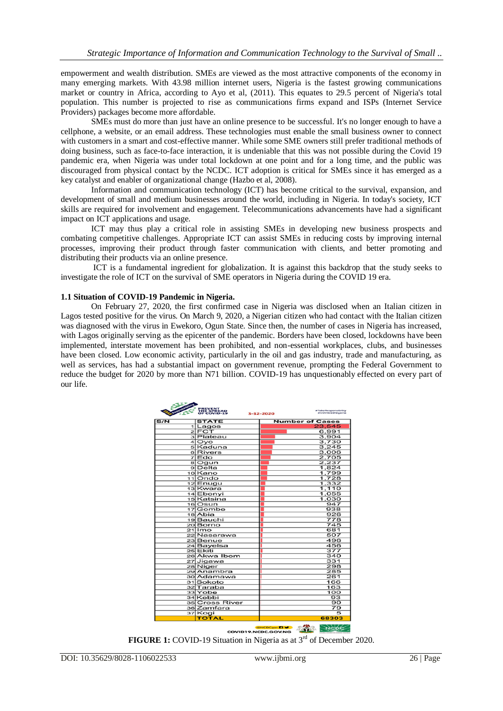empowerment and wealth distribution. SMEs are viewed as the most attractive components of the economy in many emerging markets. With 43.98 million internet users, Nigeria is the fastest growing communications market or country in Africa, according to Ayo et al, (2011). This equates to 29.5 percent of Nigeria's total population. This number is projected to rise as communications firms expand and ISPs (Internet Service Providers) packages become more affordable.

SMEs must do more than just have an online presence to be successful. It's no longer enough to have a cellphone, a website, or an email address. These technologies must enable the small business owner to connect with customers in a smart and cost-effective manner. While some SME owners still prefer traditional methods of doing business, such as face-to-face interaction, it is undeniable that this was not possible during the Covid 19 pandemic era, when Nigeria was under total lockdown at one point and for a long time, and the public was discouraged from physical contact by the NCDC. ICT adoption is critical for SMEs since it has emerged as a key catalyst and enabler of organizational change (Hazbo et al, 2008).

Information and communication technology (ICT) has become critical to the survival, expansion, and development of small and medium businesses around the world, including in Nigeria. In today's society, ICT skills are required for involvement and engagement. Telecommunications advancements have had a significant impact on ICT applications and usage.

ICT may thus play a critical role in assisting SMEs in developing new business prospects and combating competitive challenges. Appropriate ICT can assist SMEs in reducing costs by improving internal processes, improving their product through faster communication with clients, and better promoting and distributing their products via an online presence.

ICT is a fundamental ingredient for globalization. It is against this backdrop that the study seeks to investigate the role of ICT on the survival of SME operators in Nigeria during the COVID 19 era.

#### **1.1 Situation of COVID-19 Pandemic in Nigeria.**

On February 27, 2020, the first confirmed case in Nigeria was disclosed when an Italian citizen in Lagos tested positive for the virus. On March 9, 2020, a Nigerian citizen who had contact with the Italian citizen was diagnosed with the virus in Ewekoro, Ogun State. Since then, the number of cases in Nigeria has increased, with Lagos originally serving as the epicenter of the pandemic. Borders have been closed, lockdowns have been implemented, interstate movement has been prohibited, and non-essential workplaces, clubs, and businesses have been closed. Low economic activity, particularly in the oil and gas industry, trade and manufacturing, as well as services, has had a substantial impact on government revenue, prompting the Federal Government to reduce the budget for 2020 by more than N71 billion. COVID-19 has unquestionably effected on every part of our life.

| S/N |                    |                        |
|-----|--------------------|------------------------|
|     | <b>STATE</b>       | <b>Number of Cases</b> |
|     | 1 Lagos            | 23,545                 |
|     | $2$ FCT            | 6,991                  |
|     | 3 Plateau          | 3.904                  |
|     | $4$ Ovo            | 3.730                  |
|     | 5 Kaduna           | 3,245                  |
|     | 6 Rivers           | 3,006                  |
|     | 7 Edo              | 2.705                  |
|     | 8 Ogun             | 2,237                  |
|     | 9 Delta            | 1.824                  |
|     | 10 <sub>Kano</sub> | 1,799                  |
|     | 11lOndo            | 1,728                  |
|     | 12 Enugu           | 1,332                  |
|     | 13 Kwara           | 1,110                  |
|     | 14 Ebonyi          | 1,055                  |
|     | 15 Katsina         | 1,030                  |
|     | 16 Osun            | 947                    |
|     | 17 Gombe           | 938                    |
|     | 18 Abia            | 926                    |
|     | 19 Bauchi          | 778                    |
|     | 20 Borno           | 745                    |
|     | 21llmo             | 681                    |
|     | 22 Nasarawa        | 507                    |
|     | 23 Benue           | 496                    |
|     | 24 Bayelsa         | 456                    |
|     | 25 Ekiti           | 377                    |
|     | 26 Akwa Ibom       | 340                    |
|     | 27 Jigawa          | 331                    |
|     | 28 Niger           | 298                    |
|     | 29 Anambra         | 285                    |
|     | 30 Adamawa         | 261                    |
|     | 31Sokoto           | 166                    |
|     | 32 Taraba          | 163                    |
|     | 33Yobe             | 100                    |
|     | 34 Kebbi           | 93                     |
|     | 35 Cross River     | 90                     |
|     | 36 Zamfara         | 79                     |
|     | 37 Kogi            | 5                      |
|     | <b>TOTAL</b>       | 68303                  |

**FIGURE 1:** COVID-19 Situation in Nigeria as at 3<sup>rd</sup> of December 2020.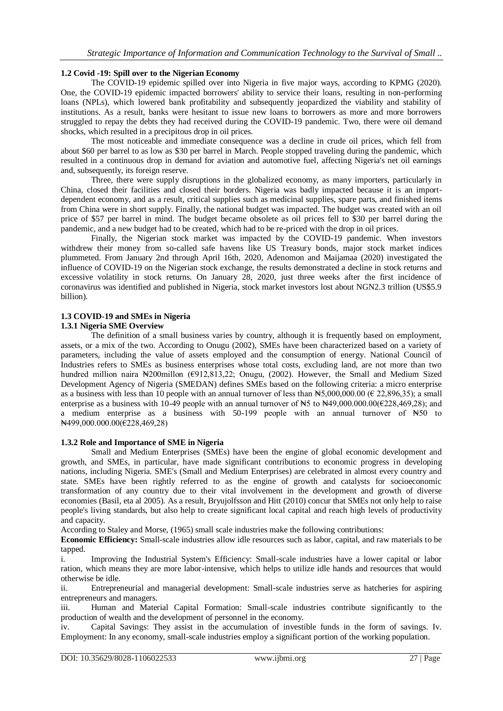## **1.2 Covid -19: Spill over to the Nigerian Economy**

The COVID-19 epidemic spilled over into Nigeria in five major ways, according to KPMG (2020). One, the COVID-19 epidemic impacted borrowers' ability to service their loans, resulting in non-performing loans (NPLs), which lowered bank profitability and subsequently jeopardized the viability and stability of institutions. As a result, banks were hesitant to issue new loans to borrowers as more and more borrowers struggled to repay the debts they had received during the COVID-19 pandemic. Two, there were oil demand shocks, which resulted in a precipitous drop in oil prices.

The most noticeable and immediate consequence was a decline in crude oil prices, which fell from about \$60 per barrel to as low as \$30 per barrel in March. People stopped traveling during the pandemic, which resulted in a continuous drop in demand for aviation and automotive fuel, affecting Nigeria's net oil earnings and, subsequently, its foreign reserve.

Three, there were supply disruptions in the globalized economy, as many importers, particularly in China, closed their facilities and closed their borders. Nigeria was badly impacted because it is an importdependent economy, and as a result, critical supplies such as medicinal supplies, spare parts, and finished items from China were in short supply. Finally, the national budget was impacted. The budget was created with an oil price of \$57 per barrel in mind. The budget became obsolete as oil prices fell to \$30 per barrel during the pandemic, and a new budget had to be created, which had to be re-priced with the drop in oil prices.

Finally, the Nigerian stock market was impacted by the COVID-19 pandemic. When investors withdrew their money from so-called safe havens like US Treasury bonds, major stock market indices plummeted. From January 2nd through April 16th, 2020, Adenomon and Maijamaa (2020) investigated the influence of COVID-19 on the Nigerian stock exchange, the results demonstrated a decline in stock returns and excessive volatility in stock returns. On January 28, 2020, just three weeks after the first incidence of coronavirus was identified and published in Nigeria, stock market investors lost about NGN2.3 trillion (US\$5.9 billion).

## **1.3 COVID-19 and SMEs in Nigeria**

#### **1.3.1 Nigeria SME Overview**

The definition of a small business varies by country, although it is frequently based on employment, assets, or a mix of the two. According to Onugu (2002), SMEs have been characterized based on a variety of parameters, including the value of assets employed and the consumption of energy. National Council of Industries refers to SMEs as business enterprises whose total costs, excluding land, are not more than two hundred million naira ₦200millon (€912,813,22; Onugu, (2002). However, the Small and Medium Sized Development Agency of Nigeria (SMEDAN) defines SMEs based on the following criteria: a micro enterprise as a business with less than 10 people with an annual turnover of less than  $\text{H5},000,000.00$  ( $\in$  22,896,35); a small enterprise as a business with 10-49 people with an annual turnover of  $\text{H}_5$  to  $\text{H}_4$ 9,000.000.00(€228,469,28); and a medium enterprise as a business with 50-199 people with an annual turnover of ₦50 to ₦499,000.000.00(€228,469,28)

#### **1.3.2 Role and Importance of SME in Nigeria**

Small and Medium Enterprises (SMEs) have been the engine of global economic development and growth, and SMEs, in particular, have made significant contributions to economic progress in developing nations, including Nigeria. SME's (Small and Medium Enterprises) are celebrated in almost every country and state. SMEs have been rightly referred to as the engine of growth and catalysts for socioeconomic transformation of any country due to their vital involvement in the development and growth of diverse economies (Basil, eta al 2005). As a result, Bryujolfsson and Hitt (2010) concur that SMEs not only help to raise people's living standards, but also help to create significant local capital and reach high levels of productivity and capacity.

According to Staley and Morse, (1965) small scale industries make the following contributions:

**Economic Efficiency:** Small-scale industries allow idle resources such as labor, capital, and raw materials to be tapped.

i. Improving the Industrial System's Efficiency: Small-scale industries have a lower capital or labor ration, which means they are more labor-intensive, which helps to utilize idle hands and resources that would otherwise be idle.

ii. Entrepreneurial and managerial development: Small-scale industries serve as hatcheries for aspiring entrepreneurs and managers.

iii. Human and Material Capital Formation: Small-scale industries contribute significantly to the production of wealth and the development of personnel in the economy.

iv. Capital Savings: They assist in the accumulation of investible funds in the form of savings. Iv. Employment: In any economy, small-scale industries employ a significant portion of the working population.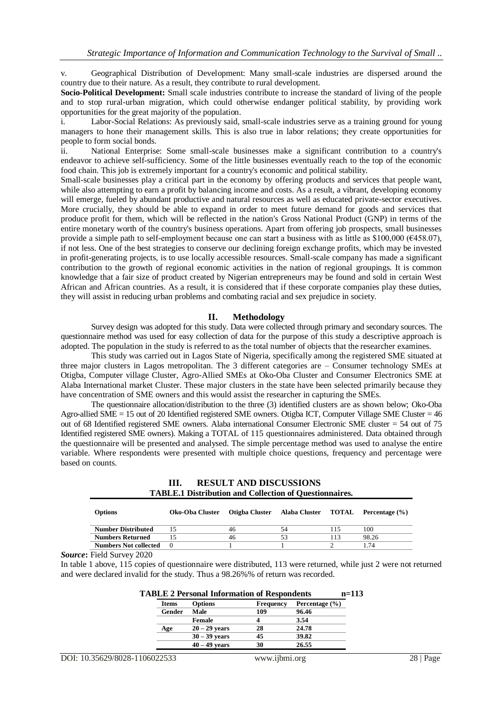v. Geographical Distribution of Development: Many small-scale industries are dispersed around the country due to their nature. As a result, they contribute to rural development.

**Socio-Political Development:** Small scale industries contribute to increase the standard of living of the people and to stop rural-urban migration, which could otherwise endanger political stability, by providing work opportunities for the great majority of the population.

i. Labor-Social Relations: As previously said, small-scale industries serve as a training ground for young managers to hone their management skills. This is also true in labor relations; they create opportunities for people to form social bonds.

ii. National Enterprise: Some small-scale businesses make a significant contribution to a country's endeavor to achieve self-sufficiency. Some of the little businesses eventually reach to the top of the economic food chain. This job is extremely important for a country's economic and political stability.

Small-scale businesses play a critical part in the economy by offering products and services that people want, while also attempting to earn a profit by balancing income and costs. As a result, a vibrant, developing economy will emerge, fueled by abundant productive and natural resources as well as educated private-sector executives. More crucially, they should be able to expand in order to meet future demand for goods and services that produce profit for them, which will be reflected in the nation's Gross National Product (GNP) in terms of the entire monetary worth of the country's business operations. Apart from offering job prospects, small businesses provide a simple path to self-employment because one can start a business with as little as \$100,000 ( $\epsilon$ 458.07), if not less. One of the best strategies to conserve our declining foreign exchange profits, which may be invested in profit-generating projects, is to use locally accessible resources. Small-scale company has made a significant contribution to the growth of regional economic activities in the nation of regional groupings. It is common knowledge that a fair size of product created by Nigerian entrepreneurs may be found and sold in certain West African and African countries. As a result, it is considered that if these corporate companies play these duties, they will assist in reducing urban problems and combating racial and sex prejudice in society.

#### **II. Methodology**

Survey design was adopted for this study. Data were collected through primary and secondary sources. The questionnaire method was used for easy collection of data for the purpose of this study a descriptive approach is adopted. The population in the study is referred to as the total number of objects that the researcher examines.

This study was carried out in Lagos State of Nigeria, specifically among the registered SME situated at three major clusters in Lagos metropolitan. The 3 different categories are – Consumer technology SMEs at Otigba, Computer village Cluster, Agro-Allied SMEs at Oko-Oba Cluster and Consumer Electronics SME at Alaba International market Cluster. These major clusters in the state have been selected primarily because they have concentration of SME owners and this would assist the researcher in capturing the SMEs.

The questionnaire allocation/distribution to the three (3) identified clusters are as shown below; Oko-Oba Agro-allied SME = 15 out of 20 Identified registered SME owners. Otigba ICT, Computer Village SME Cluster = 46 out of 68 Identified registered SME owners. Alaba international Consumer Electronic SME cluster = 54 out of 75 Identified registered SME owners). Making a TOTAL of 115 questionnaires administered. Data obtained through the questionnaire will be presented and analysed. The simple percentage method was used to analyse the entire variable. Where respondents were presented with multiple choice questions, frequency and percentage were based on counts.

#### **III. RESULT AND DISCUSSIONS TABLE.1 Distribution and Collection of Questionnaires.**

| Options                      | Oko-Oba Cluster | Otigba Cluster Alaba Cluster TOTAL Percentage (%) |    |     |       |
|------------------------------|-----------------|---------------------------------------------------|----|-----|-------|
| <b>Number Distributed</b>    |                 | 46                                                | 54 | 115 | 100   |
| <b>Numbers Returned</b>      |                 | 46                                                | 53 | 113 | 98.26 |
| <b>Numbers Not collected</b> |                 |                                                   |    |     | 1.74  |

*Source***:** Field Survey 2020

In table 1 above, 115 copies of questionnaire were distributed, 113 were returned, while just 2 were not returned and were declared invalid for the study. Thus a 98.26%% of return was recorded.

| <b>TABLE 2 Personal Information of Respondents</b> |                 |                  |                    |  |  |  |
|----------------------------------------------------|-----------------|------------------|--------------------|--|--|--|
| <b>Items</b>                                       | <b>Options</b>  | <b>Frequency</b> | Percentage $(\% )$ |  |  |  |
| Gender                                             | Male            | 109              | 96.46              |  |  |  |
|                                                    | <b>Female</b>   |                  | 3.54               |  |  |  |
| Age                                                | $20 - 29$ years | 28               | 24.78              |  |  |  |
|                                                    | $30 - 39$ years | 45               | 39.82              |  |  |  |
|                                                    | $40 - 49$ years | 30               | 26.55              |  |  |  |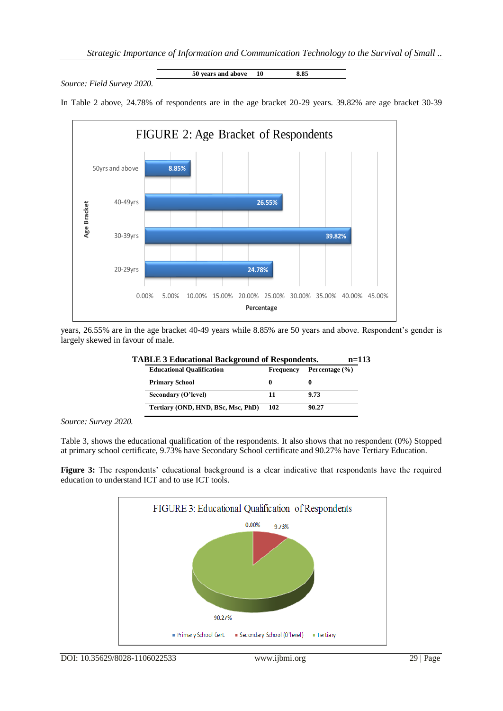*Source: Field Survey 2020.*

**50 years and above 10 8.85**

In Table 2 above, 24.78% of respondents are in the age bracket 20-29 years. 39.82% are age bracket 30-39



years, 26.55% are in the age bracket 40-49 years while 8.85% are 50 years and above. Respondent's gender is largely skewed in favour of male.

| <b>Educational Qualification</b>   | <b>Frequency</b> | Percentage (%) |
|------------------------------------|------------------|----------------|
| <b>Primary School</b>              |                  |                |
| Secondary (O'level)                |                  | 9.73           |
| Tertiary (OND, HND, BSc, Msc, PhD) | 102              | 90.27          |

# **TABLE 3 Educational Background of Respondents. n=113**

*Source: Survey 2020.*

Table 3, shows the educational qualification of the respondents. It also shows that no respondent (0%) Stopped at primary school certificate, 9.73% have Secondary School certificate and 90.27% have Tertiary Education.

**Figure 3:** The respondents' educational background is a clear indicative that respondents have the required education to understand ICT and to use ICT tools.

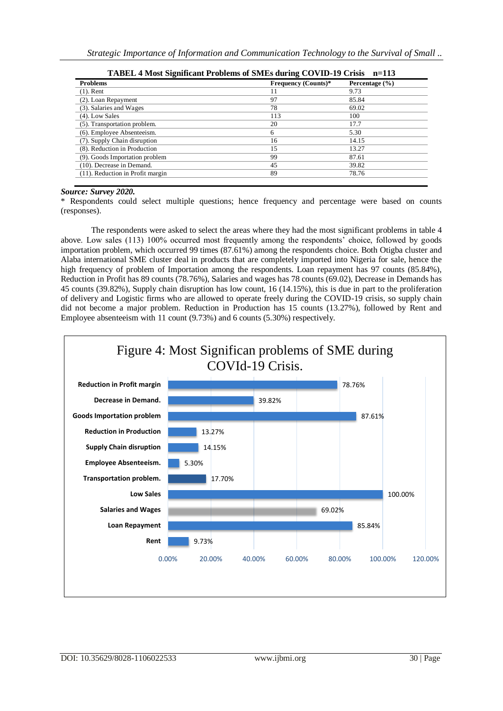| TABEL 4 Most Significant Problems of SMEs during COVID-19 Crisis<br>$n=113$ |                            |                    |  |  |
|-----------------------------------------------------------------------------|----------------------------|--------------------|--|--|
| <b>Problems</b>                                                             | <b>Frequency (Counts)*</b> | Percentage $(\% )$ |  |  |
| $(1)$ . Rent                                                                | 11                         | 9.73               |  |  |
| (2). Loan Repayment                                                         | 97                         | 85.84              |  |  |
| (3). Salaries and Wages                                                     | 78                         | 69.02              |  |  |
| $(4)$ . Low Sales                                                           | 113                        | 100                |  |  |
| (5). Transportation problem.                                                | 20                         | 17.7               |  |  |
| (6). Employee Absenteeism.                                                  | 6                          | 5.30               |  |  |
| (7). Supply Chain disruption                                                | 16                         | 14.15              |  |  |
| (8). Reduction in Production                                                | 15                         | 13.27              |  |  |
| (9). Goods Importation problem                                              | 99                         | 87.61              |  |  |
| (10). Decrease in Demand.                                                   | 45                         | 39.82              |  |  |
| $(11)$ . Reduction in Profit margin                                         | 89                         | 78.76              |  |  |

|  |  | TABEL 4 Most Significant Problems of SMEs during COVID-19 Crisis n=113 |  |
|--|--|------------------------------------------------------------------------|--|
|  |  |                                                                        |  |

#### *Source: Survey 2020.*

\* Respondents could select multiple questions; hence frequency and percentage were based on counts (responses).

The respondents were asked to select the areas where they had the most significant problems in table 4 above. Low sales (113) 100% occurred most frequently among the respondents' choice, followed by goods importation problem, which occurred 99 times (87.61%) among the respondents choice. Both Otigba cluster and Alaba international SME cluster deal in products that are completely imported into Nigeria for sale, hence the high frequency of problem of Importation among the respondents. Loan repayment has 97 counts (85.84%), Reduction in Profit has 89 counts (78.76%), Salaries and wages has 78 counts (69.02), Decrease in Demands has 45 counts (39.82%), Supply chain disruption has low count, 16 (14.15%), this is due in part to the proliferation of delivery and Logistic firms who are allowed to operate freely during the COVID-19 crisis, so supply chain did not become a major problem. Reduction in Production has 15 counts (13.27%), followed by Rent and Employee absenteeism with 11 count (9.73%) and 6 counts (5.30%) respectively.

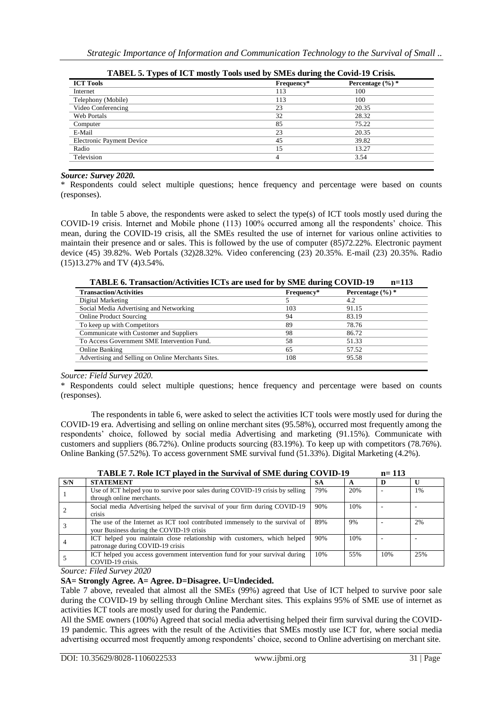| <b>ICT Tools</b>                 | Frequency* | Percentage $(\%)^*$ |
|----------------------------------|------------|---------------------|
| Internet                         | 113        | 100                 |
| Telephony (Mobile)               | 113        | 100                 |
| Video Conferencing               | 23         | 20.35               |
| Web Portals                      | 32         | 28.32               |
| Computer                         | 85         | 75.22               |
| E-Mail                           | 23         | 20.35               |
| <b>Electronic Payment Device</b> | 45         | 39.82               |
| Radio                            | 15         | 13.27               |
| Television                       | 4          | 3.54                |

| TABEL 5. Types of ICT mostly Tools used by SMEs during the Covid-19 Crisis. |  |  |  |  |  |
|-----------------------------------------------------------------------------|--|--|--|--|--|
|                                                                             |  |  |  |  |  |

## *Source: Survey 2020.*

\* Respondents could select multiple questions; hence frequency and percentage were based on counts (responses).

In table 5 above, the respondents were asked to select the type(s) of ICT tools mostly used during the COVID-19 crisis. Internet and Mobile phone (113) 100% occurred among all the respondents' choice. This mean, during the COVID-19 crisis, all the SMEs resulted the use of internet for various online activities to maintain their presence and or sales. This is followed by the use of computer (85)72.22%. Electronic payment device (45) 39.82%. Web Portals (32)28.32%. Video conferencing (23) 20.35%. E-mail (23) 20.35%. Radio (15)13.27% and TV (4)3.54%.

**TABLE 6. Transaction/Activities ICTs are used for by SME during COVID-19 n=113**

| <b>Transaction/Activities</b>                      | Frequency* | Percentage $(\%)^*$ |
|----------------------------------------------------|------------|---------------------|
| Digital Marketing                                  |            | 4.2                 |
| Social Media Advertising and Networking            | 103        | 91.15               |
| <b>Online Product Sourcing</b>                     | 94         | 83.19               |
| To keep up with Competitors                        | 89         | 78.76               |
| Communicate with Customer and Suppliers            | 98         | 86.72               |
| To Access Government SME Intervention Fund.        | 58         | 51.33               |
| Online Banking                                     | 65         | 57.52               |
| Advertising and Selling on Online Merchants Sites. | 108        | 95.58               |

## *Source: Field Survey 2020.*

\* Respondents could select multiple questions; hence frequency and percentage were based on counts (responses).

The respondents in table 6, were asked to select the activities ICT tools were mostly used for during the COVID-19 era. Advertising and selling on online merchant sites (95.58%), occurred most frequently among the respondents' choice, followed by social media Advertising and marketing (91.15%). Communicate with customers and suppliers (86.72%). Online products sourcing (83.19%). To keep up with competitors (78.76%). Online Banking (57.52%). To access government SME survival fund (51.33%). Digital Marketing (4.2%).

|     | TADLE 1. KUR ICT played in the but fival of binic during COVID-12                                                                                                                                                                                                                                                                                        |     |     | $1 - 11$ |     |
|-----|----------------------------------------------------------------------------------------------------------------------------------------------------------------------------------------------------------------------------------------------------------------------------------------------------------------------------------------------------------|-----|-----|----------|-----|
| S/N | <b>STATEMENT</b>                                                                                                                                                                                                                                                                                                                                         | SА  |     |          |     |
|     | Use of ICT helped you to survive poor sales during COVID-19 crisis by selling<br>through online merchants.                                                                                                                                                                                                                                               | 79% | 20% |          | 1%  |
|     | Social media Advertising helped the survival of your firm during COVID-19<br><i>crisis</i>                                                                                                                                                                                                                                                               | 90% | 10% |          |     |
|     | The use of the Internet as ICT tool contributed immensely to the survival of<br>your Business during the COVID-19 crisis                                                                                                                                                                                                                                 | 89% | 9%  |          | 2%  |
|     | ICT helped you maintain close relationship with customers, which helped<br>patronage during COVID-19 crisis                                                                                                                                                                                                                                              | 90% | 10% |          |     |
|     | ICT helped you access government intervention fund for your survival during<br>COVID-19 crisis.                                                                                                                                                                                                                                                          | 10% | 55% | 10%      | 25% |
|     | $\mathbf{r}$ , $\alpha$ , $\alpha$ , $\alpha$ , $\alpha$ , $\alpha$ , $\alpha$ , $\alpha$ , $\alpha$ , $\alpha$ , $\alpha$ , $\alpha$ , $\alpha$ , $\alpha$ , $\alpha$ , $\alpha$ , $\alpha$ , $\alpha$ , $\alpha$ , $\alpha$ , $\alpha$ , $\alpha$ , $\alpha$ , $\alpha$ , $\alpha$ , $\alpha$ , $\alpha$ , $\alpha$ , $\alpha$ , $\alpha$ , $\alpha$ , |     |     |          |     |

**TABLE 7. Role ICT played in the Survival of SME during COVID-19 n= 113**

*Source: Filed Survey 2020*

## **SA= Strongly Agree. A= Agree. D=Disagree. U=Undecided.**

Table 7 above, revealed that almost all the SMEs (99%) agreed that Use of ICT helped to survive poor sale during the COVID-19 by selling through Online Merchant sites. This explains 95% of SME use of internet as activities ICT tools are mostly used for during the Pandemic.

All the SME owners (100%) Agreed that social media advertising helped their firm survival during the COVID-19 pandemic. This agrees with the result of the Activities that SMEs mostly use ICT for, where social media advertising occurred most frequently among respondents' choice, second to Online advertising on merchant site.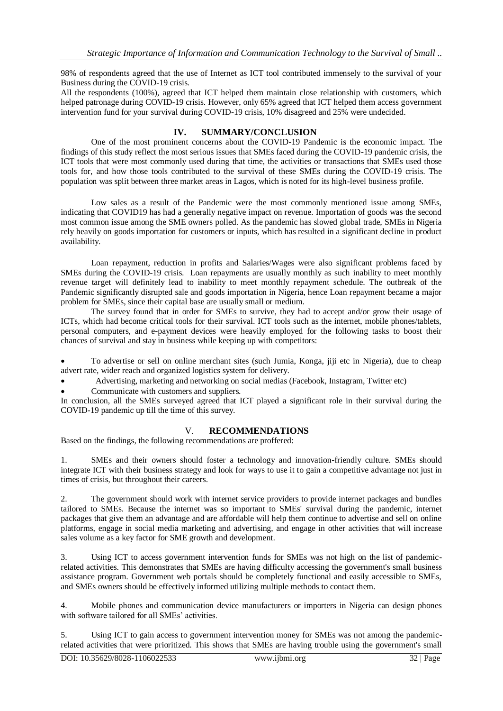98% of respondents agreed that the use of Internet as ICT tool contributed immensely to the survival of your Business during the COVID-19 crisis.

All the respondents (100%), agreed that ICT helped them maintain close relationship with customers, which helped patronage during COVID-19 crisis. However, only 65% agreed that ICT helped them access government intervention fund for your survival during COVID-19 crisis, 10% disagreed and 25% were undecided.

## **IV. SUMMARY/CONCLUSION**

One of the most prominent concerns about the COVID-19 Pandemic is the economic impact. The findings of this study reflect the most serious issues that SMEs faced during the COVID-19 pandemic crisis, the ICT tools that were most commonly used during that time, the activities or transactions that SMEs used those tools for, and how those tools contributed to the survival of these SMEs during the COVID-19 crisis. The population was split between three market areas in Lagos, which is noted for its high-level business profile.

Low sales as a result of the Pandemic were the most commonly mentioned issue among SMEs, indicating that COVID19 has had a generally negative impact on revenue. Importation of goods was the second most common issue among the SME owners polled. As the pandemic has slowed global trade, SMEs in Nigeria rely heavily on goods importation for customers or inputs, which has resulted in a significant decline in product availability.

Loan repayment, reduction in profits and Salaries/Wages were also significant problems faced by SMEs during the COVID-19 crisis. Loan repayments are usually monthly as such inability to meet monthly revenue target will definitely lead to inability to meet monthly repayment schedule. The outbreak of the Pandemic significantly disrupted sale and goods importation in Nigeria, hence Loan repayment became a major problem for SMEs, since their capital base are usually small or medium.

The survey found that in order for SMEs to survive, they had to accept and/or grow their usage of ICTs, which had become critical tools for their survival. ICT tools such as the internet, mobile phones/tablets, personal computers, and e-payment devices were heavily employed for the following tasks to boost their chances of survival and stay in business while keeping up with competitors:

 To advertise or sell on online merchant sites (such Jumia, Konga, jiji etc in Nigeria), due to cheap advert rate, wider reach and organized logistics system for delivery.

Advertising, marketing and networking on social medias (Facebook, Instagram, Twitter etc)

Communicate with customers and suppliers.

In conclusion, all the SMEs surveyed agreed that ICT played a significant role in their survival during the COVID-19 pandemic up till the time of this survey.

## V. **RECOMMENDATIONS**

Based on the findings, the following recommendations are proffered:

1. SMEs and their owners should foster a technology and innovation-friendly culture. SMEs should integrate ICT with their business strategy and look for ways to use it to gain a competitive advantage not just in times of crisis, but throughout their careers.

2. The government should work with internet service providers to provide internet packages and bundles tailored to SMEs. Because the internet was so important to SMEs' survival during the pandemic, internet packages that give them an advantage and are affordable will help them continue to advertise and sell on online platforms, engage in social media marketing and advertising, and engage in other activities that will increase sales volume as a key factor for SME growth and development.

3. Using ICT to access government intervention funds for SMEs was not high on the list of pandemicrelated activities. This demonstrates that SMEs are having difficulty accessing the government's small business assistance program. Government web portals should be completely functional and easily accessible to SMEs, and SMEs owners should be effectively informed utilizing multiple methods to contact them.

4. Mobile phones and communication device manufacturers or importers in Nigeria can design phones with software tailored for all SMEs' activities.

5. Using ICT to gain access to government intervention money for SMEs was not among the pandemicrelated activities that were prioritized. This shows that SMEs are having trouble using the government's small